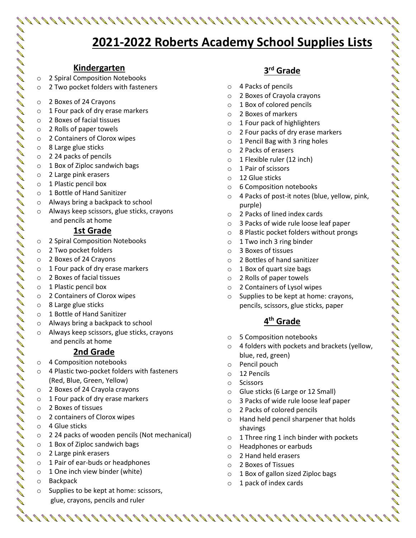# **2021-2022 Roberts Academy School Supplies Lists**

#### **Kindergarten**

- o 2 Spiral Composition Notebooks
- o 2 Two pocket folders with fasteners
- o 2 Boxes of 24 Crayons
- o 1 Four pack of dry erase markers
- o 2 Boxes of facial tissues
- o 2 Rolls of paper towels
- o 2 Containers of Clorox wipes
- o 8 Large glue sticks
- o 2 24 packs of pencils
- $\circ$  1 Box of Ziploc sandwich bags
- o 2 Large pink erasers
- o 1 Plastic pencil box
- o 1 Bottle of Hand Sanitizer
- o Always bring a backpack to school
- o Always keep scissors, glue sticks, crayons and pencils at home

#### **1st Grade**

- o 2 Spiral Composition Notebooks
- o 2 Two pocket folders
- o 2 Boxes of 24 Crayons

- o 1 Four pack of dry erase markers
- o 2 Boxes of facial tissues
- o 1 Plastic pencil box
- o 2 Containers of Clorox wipes
- o 8 Large glue sticks
- o 1 Bottle of Hand Sanitizer
- o Always bring a backpack to school
- o Always keep scissors, glue sticks, crayons and pencils at home

## **2nd Grade**

- o 4 Composition notebooks
- o 4 Plastic two-pocket folders with fasteners (Red, Blue, Green, Yellow)
- o 2 Boxes of 24 Crayola crayons
- o 1 Four pack of dry erase markers
- o 2 Boxes of tissues
- o 2 containers of Clorox wipes
- o 4 Glue sticks
- o 2 24 packs of wooden pencils (Not mechanical)
- o 1 Box of Ziploc sandwich bags
- o 2 Large pink erasers
- o 1 Pair of ear-buds or headphones
- $\circ$  1 One inch view binder (white)
- o Backpack
- Supplies to be kept at home: scissors, glue, crayons, pencils and ruler

# **3 rd Grade**

- o 4 Packs of pencils
- o 2 Boxes of Crayola crayons
- o 1 Box of colored pencils
- o 2 Boxes of markers
- o 1 Four pack of highlighters
- o 2 Four packs of dry erase markers
- o 1 Pencil Bag with 3 ring holes
- o 2 Packs of erasers
- o 1 Flexible ruler (12 inch)
- o 1 Pair of scissors
- o 12 Glue sticks
- o 6 Composition notebooks
- o 4 Packs of post-it notes (blue, yellow, pink, purple)
- o 2 Packs of lined index cards
- o 3 Packs of wide rule loose leaf paper
- o 8 Plastic pocket folders without prongs
- o 1 Two inch 3 ring binder
- o 3 Boxes of tissues
- o 2 Bottles of hand sanitizer
- o 1 Box of quart size bags
- o 2 Rolls of paper towels
- o 2 Containers of Lysol wipes
- o Supplies to be kept at home: crayons, pencils, scissors, glue sticks, paper

## **4 th Grade**

- o 5 Composition notebooks
- o 4 folders with pockets and brackets (yellow, blue, red, green)
- o Pencil pouch
- o 12 Pencils
- o Scissors

- o Glue sticks (6 Large or 12 Small)
- o 3 Packs of wide rule loose leaf paper
- o 2 Packs of colored pencils
- o Hand held pencil sharpener that holds shavings
- o 1 Three ring 1 inch binder with pockets
- o Headphones or earbuds
- o 2 Hand held erasers
- o 2 Boxes of Tissues
- o 1 Box of gallon sized Ziploc bags
- o 1 pack of index cards